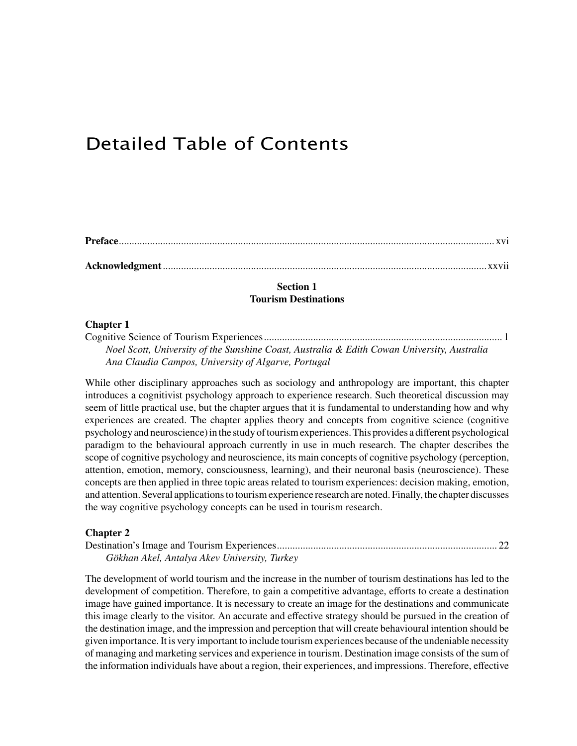# Detailed Table of Contents

**Acknowledgment**.............................................................................................................................xxvii

## **Section 1 Tourism Destinations**

#### **Chapter 1**

Cognitive Science of Tourism Experiences............................................................................................ 1 *Noel Scott, University of the Sunshine Coast, Australia & Edith Cowan University, Australia Ana Claudia Campos, University of Algarve, Portugal*

While other disciplinary approaches such as sociology and anthropology are important, this chapter introduces a cognitivist psychology approach to experience research. Such theoretical discussion may seem of little practical use, but the chapter argues that it is fundamental to understanding how and why experiences are created. The chapter applies theory and concepts from cognitive science (cognitive psychology and neuroscience)in the study oftourismexperiences.This provides a different psychological paradigm to the behavioural approach currently in use in much research. The chapter describes the scope of cognitive psychology and neuroscience, its main concepts of cognitive psychology (perception, attention, emotion, memory, consciousness, learning), and their neuronal basis (neuroscience). These concepts are then applied in three topic areas related to tourism experiences: decision making, emotion, and attention. Several applicationsto tourismexperience research are noted. Finally, the chapter discusses the way cognitive psychology concepts can be used in tourism research.

#### **Chapter 2**

Destination's Image and Tourism Experiences..................................................................................... 22 *Gökhan Akel, Antalya Akev University, Turkey*

The development of world tourism and the increase in the number of tourism destinations has led to the development of competition. Therefore, to gain a competitive advantage, efforts to create a destination image have gained importance. It is necessary to create an image for the destinations and communicate this image clearly to the visitor. An accurate and effective strategy should be pursued in the creation of the destination image, and the impression and perception that will create behavioural intention should be given importance.It is very important to include tourismexperiences because ofthe undeniable necessity of managing and marketing services and experience in tourism. Destination image consists of the sum of the information individuals have about a region, their experiences, and impressions. Therefore, effective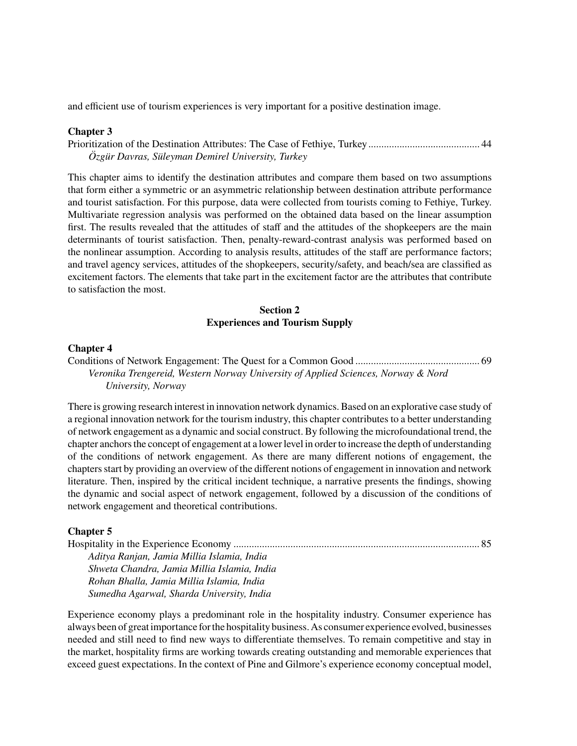and efficient use of tourism experiences is very important for a positive destination image.

#### **Chapter 3**

Prioritization of the Destination Attributes: The Case of Fethiye, Turkey........................................... 44 *Özgür Davras, Süleyman Demirel University, Turkey*

This chapter aims to identify the destination attributes and compare them based on two assumptions that form either a symmetric or an asymmetric relationship between destination attribute performance and tourist satisfaction. For this purpose, data were collected from tourists coming to Fethiye, Turkey. Multivariate regression analysis was performed on the obtained data based on the linear assumption first. The results revealed that the attitudes of staff and the attitudes of the shopkeepers are the main determinants of tourist satisfaction. Then, penalty-reward-contrast analysis was performed based on the nonlinear assumption. According to analysis results, attitudes of the staff are performance factors; and travel agency services, attitudes of the shopkeepers, security/safety, and beach/sea are classified as excitement factors. The elements that take part in the excitement factor are the attributes that contribute to satisfaction the most.

# **Section 2 Experiences and Tourism Supply**

#### **Chapter 4**

Conditions of Network Engagement: The Quest for a Common Good ................................................ 69 *Veronika Trengereid, Western Norway University of Applied Sciences, Norway & Nord University, Norway*

There is growing research interest in innovation network dynamics.Based on an explorative case study of a regional innovation network for the tourism industry, this chapter contributes to a better understanding of network engagement as a dynamic and social construct. By following the microfoundational trend, the chapter anchors the concept of engagement at a lower level in order to increase the depth of understanding of the conditions of network engagement. As there are many different notions of engagement, the chapters start by providing an overview of the different notions of engagement in innovation and network literature. Then, inspired by the critical incident technique, a narrative presents the findings, showing the dynamic and social aspect of network engagement, followed by a discussion of the conditions of network engagement and theoretical contributions.

## **Chapter 5**

| Aditya Ranjan, Jamia Millia Islamia, India  |  |
|---------------------------------------------|--|
| Shweta Chandra, Jamia Millia Islamia, India |  |
| Rohan Bhalla, Jamia Millia Islamia, India   |  |
| Sumedha Agarwal, Sharda University, India   |  |

Experience economy plays a predominant role in the hospitality industry. Consumer experience has always been of great importance forthe hospitality business.As consumer experience evolved, businesses needed and still need to find new ways to differentiate themselves. To remain competitive and stay in the market, hospitality firms are working towards creating outstanding and memorable experiences that exceed guest expectations. In the context of Pine and Gilmore's experience economy conceptual model,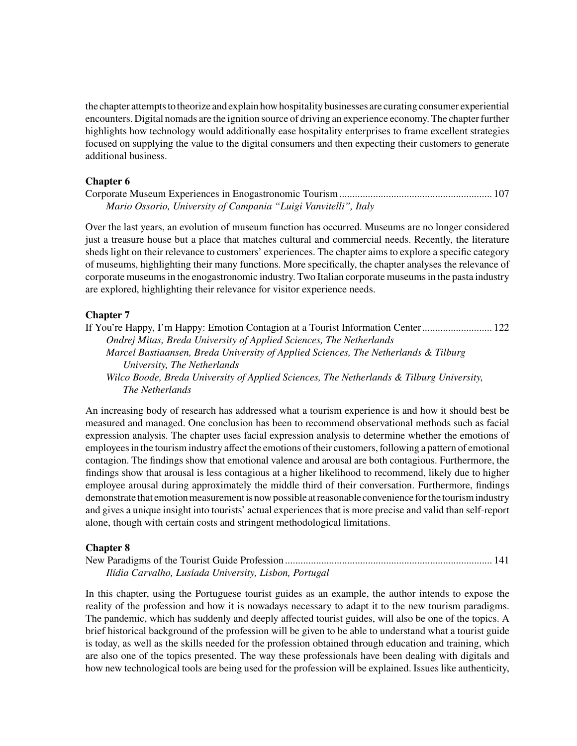the chapter attemptsto theorize and explain howhospitality businesses are curating consumer experiential encounters. Digital nomads are the ignition source of driving an experience economy. The chapterfurther highlights how technology would additionally ease hospitality enterprises to frame excellent strategies focused on supplying the value to the digital consumers and then expecting their customers to generate additional business.

### **Chapter 6**

| Mario Ossorio, University of Campania "Luigi Vanvitelli", Italy |  |
|-----------------------------------------------------------------|--|

Over the last years, an evolution of museum function has occurred. Museums are no longer considered just a treasure house but a place that matches cultural and commercial needs. Recently, the literature sheds light on their relevance to customers' experiences. The chapter aims to explore a specific category of museums, highlighting their many functions. More specifically, the chapter analyses the relevance of corporate museumsin the enogastronomic industry. Two Italian corporate museumsin the pasta industry are explored, highlighting their relevance for visitor experience needs.

## **Chapter 7**

If You're Happy, I'm Happy: Emotion Contagion at a Tourist Information Center........................... 122 *Ondrej Mitas, Breda University of Applied Sciences, The Netherlands Marcel Bastiaansen, Breda University of Applied Sciences, The Netherlands & Tilburg University, The Netherlands Wilco Boode, Breda University of Applied Sciences, The Netherlands & Tilburg University, The Netherlands*

An increasing body of research has addressed what a tourism experience is and how it should best be measured and managed. One conclusion has been to recommend observational methods such as facial expression analysis. The chapter uses facial expression analysis to determine whether the emotions of employees in the tourism industry affect the emotions of their customers, following a pattern of emotional contagion. The findings show that emotional valence and arousal are both contagious. Furthermore, the findings show that arousal is less contagious at a higher likelihood to recommend, likely due to higher employee arousal during approximately the middle third of their conversation. Furthermore, findings demonstrate that emotion measurement is now possible at reasonable convenience for the tourism industry and gives a unique insight into tourists' actual experiences that is more precise and valid than self-report alone, though with certain costs and stringent methodological limitations.

## **Chapter 8**

New Paradigms of the Tourist Guide Profession................................................................................ 141 *Ilídia Carvalho, Lusíada University, Lisbon, Portugal*

In this chapter, using the Portuguese tourist guides as an example, the author intends to expose the reality of the profession and how it is nowadays necessary to adapt it to the new tourism paradigms. The pandemic, which has suddenly and deeply affected tourist guides, will also be one of the topics. A brief historical background of the profession will be given to be able to understand what a tourist guide is today, as well as the skills needed for the profession obtained through education and training, which are also one of the topics presented. The way these professionals have been dealing with digitals and how new technological tools are being used for the profession will be explained. Issues like authenticity,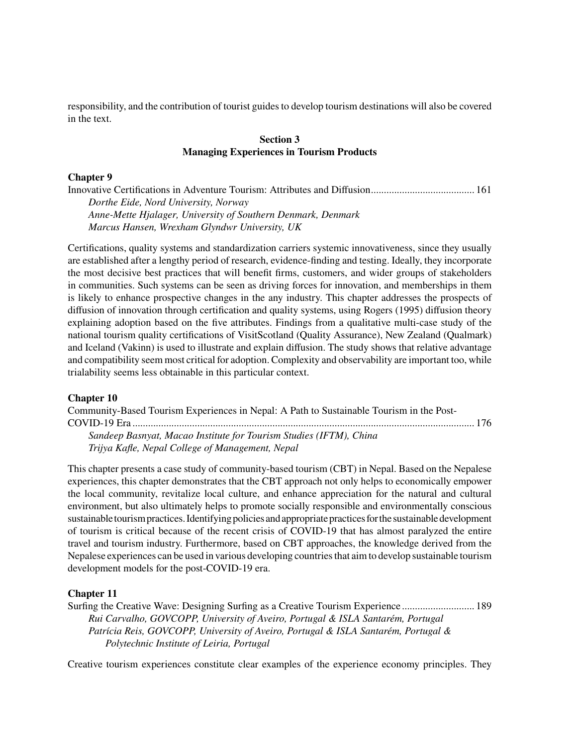responsibility, and the contribution of tourist guides to develop tourism destinations will also be covered in the text.

# **Section 3 Managing Experiences in Tourism Products**

#### **Chapter 9**

Innovative Certifications in Adventure Tourism: Attributes and Diffusion........................................ 161 *Dorthe Eide, Nord University, Norway Anne-Mette Hjalager, University of Southern Denmark, Denmark Marcus Hansen, Wrexham Glyndwr University, UK*

Certifications, quality systems and standardization carriers systemic innovativeness, since they usually are established after a lengthy period of research, evidence-finding and testing. Ideally, they incorporate the most decisive best practices that will benefit firms, customers, and wider groups of stakeholders in communities. Such systems can be seen as driving forces for innovation, and memberships in them is likely to enhance prospective changes in the any industry. This chapter addresses the prospects of diffusion of innovation through certification and quality systems, using Rogers (1995) diffusion theory explaining adoption based on the five attributes. Findings from a qualitative multi-case study of the national tourism quality certifications of VisitScotland (Quality Assurance), New Zealand (Qualmark) and Iceland (Vakinn) is used to illustrate and explain diffusion. The study shows that relative advantage and compatibility seem most critical for adoption. Complexity and observability are important too, while trialability seems less obtainable in this particular context.

#### **Chapter 10**

Community-Based Tourism Experiences in Nepal: A Path to Sustainable Tourism in the Post-COVID-19 Era .................................................................................................................................... 176 *Sandeep Basnyat, Macao Institute for Tourism Studies (IFTM), China Trijya Kafle, Nepal College of Management, Nepal*

This chapter presents a case study of community-based tourism (CBT) in Nepal. Based on the Nepalese experiences, this chapter demonstrates that the CBT approach not only helps to economically empower the local community, revitalize local culture, and enhance appreciation for the natural and cultural environment, but also ultimately helps to promote socially responsible and environmentally conscious sustainable tourism practices. Identifying policies and appropriate practices for the sustainable development of tourism is critical because of the recent crisis of COVID-19 that has almost paralyzed the entire travel and tourism industry. Furthermore, based on CBT approaches, the knowledge derived from the Nepalese experiences can be used in various developing countriesthat aimto develop sustainable tourism development models for the post-COVID-19 era.

#### **Chapter 11**

Surfing the Creative Wave: Designing Surfing as a Creative Tourism Experience ............................ 189 *Rui Carvalho, GOVCOPP, University of Aveiro, Portugal & ISLA Santarém, Portugal Patrícia Reis, GOVCOPP, University of Aveiro, Portugal & ISLA Santarém, Portugal & Polytechnic Institute of Leiria, Portugal*

Creative tourism experiences constitute clear examples of the experience economy principles. They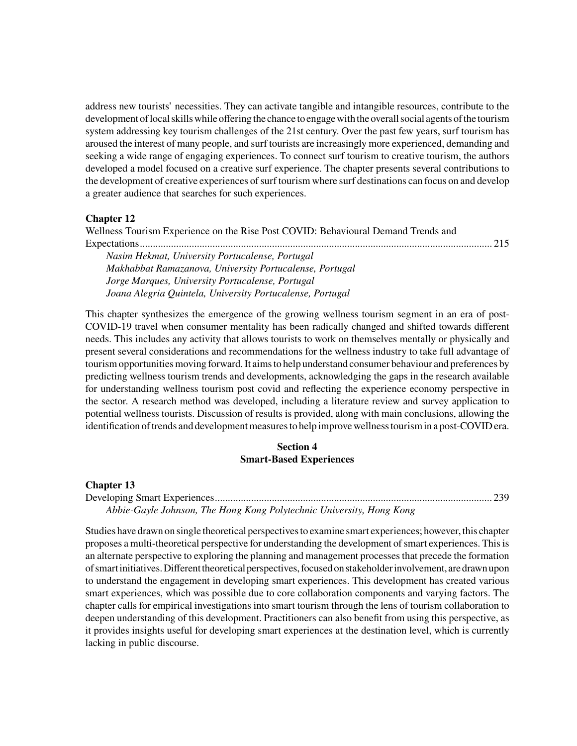address new tourists' necessities. They can activate tangible and intangible resources, contribute to the development of local skills while offering the chance to engage with the overall social agents of the tourism system addressing key tourism challenges of the 21st century. Over the past few years, surf tourism has aroused the interest of many people, and surf tourists are increasingly more experienced, demanding and seeking a wide range of engaging experiences. To connect surf tourism to creative tourism, the authors developed a model focused on a creative surf experience. The chapter presents several contributions to the development of creative experiences of surf tourism where surf destinations can focus on and develop a greater audience that searches for such experiences.

## **Chapter 12**

Wellness Tourism Experience on the Rise Post COVID: Behavioural Demand Trends and Expectations........................................................................................................................................ 215 *Nasim Hekmat, University Portucalense, Portugal Makhabbat Ramazanova, University Portucalense, Portugal Jorge Marques, University Portucalense, Portugal Joana Alegria Quintela, University Portucalense, Portugal*

This chapter synthesizes the emergence of the growing wellness tourism segment in an era of post-COVID-19 travel when consumer mentality has been radically changed and shifted towards different needs. This includes any activity that allows tourists to work on themselves mentally or physically and present several considerations and recommendations for the wellness industry to take full advantage of tourismopportunitiesmoving forward.It aimsto help understand consumer behaviour and preferences by predicting wellness tourism trends and developments, acknowledging the gaps in the research available for understanding wellness tourism post covid and reflecting the experience economy perspective in the sector. A research method was developed, including a literature review and survey application to potential wellness tourists. Discussion of results is provided, along with main conclusions, allowing the identification of trends and development measures to help improve wellness tourism in a post-COVID era.

## **Section 4 Smart-Based Experiences**

**Chapter 13** Developing Smart Experiences........................................................................................................... 239 *Abbie-Gayle Johnson, The Hong Kong Polytechnic University, Hong Kong*

Studies have drawn on single theoretical perspectives to examine smart experiences; however, this chapter proposes a multi-theoretical perspective for understanding the development of smart experiences. This is an alternate perspective to exploring the planning and management processesthat precede the formation of smart initiatives. Different theoretical perspectives, focused on stakeholder involvement, are drawn upon to understand the engagement in developing smart experiences. This development has created various smart experiences, which was possible due to core collaboration components and varying factors. The chapter calls for empirical investigations into smart tourism through the lens of tourism collaboration to deepen understanding of this development. Practitioners can also benefit from using this perspective, as it provides insights useful for developing smart experiences at the destination level, which is currently lacking in public discourse.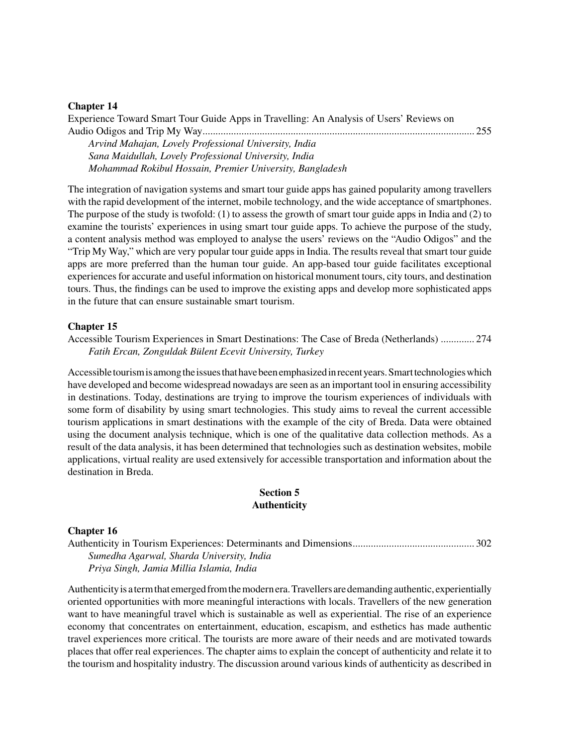#### **Chapter 14**

| Experience Toward Smart Tour Guide Apps in Travelling: An Analysis of Users' Reviews on |  |
|-----------------------------------------------------------------------------------------|--|
|                                                                                         |  |
| Arvind Mahajan, Lovely Professional University, India                                   |  |

*Sana Maidullah, Lovely Professional University, India Mohammad Rokibul Hossain, Premier University, Bangladesh*

The integration of navigation systems and smart tour guide apps has gained popularity among travellers with the rapid development of the internet, mobile technology, and the wide acceptance of smartphones. The purpose of the study is twofold: (1) to assess the growth of smart tour guide apps in India and (2) to examine the tourists' experiences in using smart tour guide apps. To achieve the purpose of the study, a content analysis method was employed to analyse the users' reviews on the "Audio Odigos" and the "Trip My Way," which are very popular tour guide apps in India. The results reveal that smart tour guide apps are more preferred than the human tour guide. An app-based tour guide facilitates exceptional experiences for accurate and useful information on historical monument tours, city tours, and destination tours. Thus, the findings can be used to improve the existing apps and develop more sophisticated apps in the future that can ensure sustainable smart tourism.

#### **Chapter 15**

Accessible Tourism Experiences in Smart Destinations: The Case of Breda (Netherlands) ............. 274 *Fatih Ercan, Zonguldak Bülent Ecevit University, Turkey*

Accessible tourism is among the issues that have been emphasized in recent years. Smart technologies which have developed and become widespread nowadays are seen as an important tool in ensuring accessibility in destinations. Today, destinations are trying to improve the tourism experiences of individuals with some form of disability by using smart technologies. This study aims to reveal the current accessible tourism applications in smart destinations with the example of the city of Breda. Data were obtained using the document analysis technique, which is one of the qualitative data collection methods. As a result of the data analysis, it has been determined that technologies such as destination websites, mobile applications, virtual reality are used extensively for accessible transportation and information about the destination in Breda.

## **Section 5 Authenticity**

#### **Chapter 16**

Authenticity in Tourism Experiences: Determinants and Dimensions............................................... 302 *Sumedha Agarwal, Sharda University, India Priya Singh, Jamia Millia Islamia, India*

Authenticityis a termthat emergedfromthemodernera.Travellers aredemandingauthentic, experientially oriented opportunities with more meaningful interactions with locals. Travellers of the new generation want to have meaningful travel which is sustainable as well as experiential. The rise of an experience economy that concentrates on entertainment, education, escapism, and esthetics has made authentic travel experiences more critical. The tourists are more aware of their needs and are motivated towards places that offer real experiences. The chapter aims to explain the concept of authenticity and relate it to the tourism and hospitality industry. The discussion around various kinds of authenticity as described in